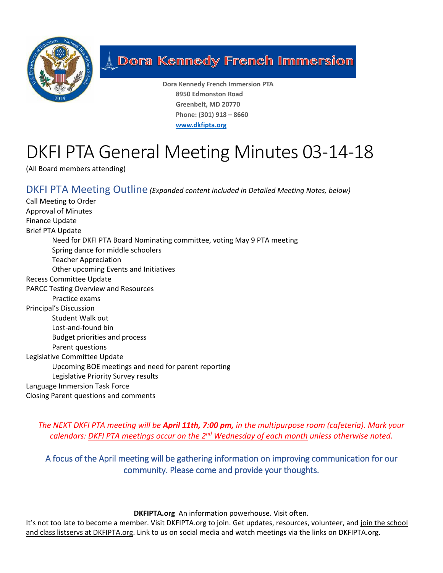

## **A Dora Kennedy French Immersion**

**Dora Kennedy French Immersion PTA 8950 Edmonston Road Greenbelt, MD 20770 Phone: (301) 918 – 8660 [www.dkfipta.org](http://www.dkfipta.org/)**

# DKFI PTA General Meeting Minutes 03-14-18

(All Board members attending)

DKFI PTA Meeting Outline *(Expanded content included in Detailed Meeting Notes, below)*

Call Meeting to Order Approval of Minutes Finance Update Brief PTA Update Need for DKFI PTA Board Nominating committee, voting May 9 PTA meeting Spring dance for middle schoolers Teacher Appreciation Other upcoming Events and Initiatives Recess Committee Update PARCC Testing Overview and Resources Practice exams Principal's Discussion Student Walk out Lost-and-found bin Budget priorities and process Parent questions Legislative Committee Update Upcoming BOE meetings and need for parent reporting Legislative Priority Survey results Language Immersion Task Force Closing Parent questions and comments

*The NEXT DKFI PTA meeting will be April 11th, 7:00 pm, in the multipurpose room (cafeteria). Mark your calendars: DKFI PTA meetings occur on the 2nd Wednesday of each month unless otherwise noted.*

A focus of the April meeting will be gathering information on improving communication for our community. Please come and provide your thoughts.

**DKFIPTA.org** An information powerhouse. Visit often.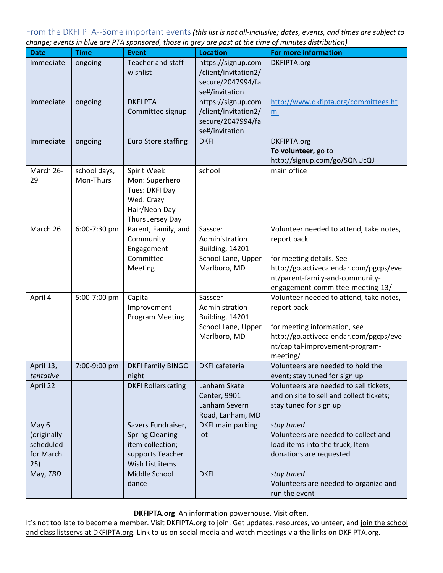From the DKFI PTA--Some important events*(this list is not all-inclusive; dates, events, and times are subject to change; events in blue are PTA sponsored, those in grey are past at the time of minutes distribution)*

| <b>Date</b>                                           | <b>Time</b>               | e are represented those in grey are past at the time<br>Event                                           | <b>Location</b>                                                                           | $\sigma$ , $\ldots$ , acco and $\ldots$ according<br><b>For more information</b>                                                                                                                    |
|-------------------------------------------------------|---------------------------|---------------------------------------------------------------------------------------------------------|-------------------------------------------------------------------------------------------|-----------------------------------------------------------------------------------------------------------------------------------------------------------------------------------------------------|
| Immediate                                             | ongoing                   | Teacher and staff<br>wishlist                                                                           | https://signup.com<br>/client/invitation2/<br>secure/2047994/fal<br>se#/invitation        | DKFIPTA.org                                                                                                                                                                                         |
| Immediate                                             | ongoing                   | <b>DKFI PTA</b><br>Committee signup                                                                     | https://signup.com<br>/client/invitation2/<br>secure/2047994/fal<br>se#/invitation        | http://www.dkfipta.org/committees.ht<br>ml                                                                                                                                                          |
| Immediate                                             | ongoing                   | <b>Euro Store staffing</b>                                                                              | <b>DKFI</b>                                                                               | DKFIPTA.org<br>To volunteer, go to<br>http://signup.com/go/SQNUcQJ                                                                                                                                  |
| March 26-<br>29                                       | school days,<br>Mon-Thurs | Spirit Week<br>Mon: Superhero<br>Tues: DKFI Day<br>Wed: Crazy<br>Hair/Neon Day<br>Thurs Jersey Day      | school                                                                                    | main office                                                                                                                                                                                         |
| March 26                                              | 6:00-7:30 pm              | Parent, Family, and<br>Community<br>Engagement<br>Committee<br>Meeting                                  | Sasscer<br>Administration<br><b>Building, 14201</b><br>School Lane, Upper<br>Marlboro, MD | Volunteer needed to attend, take notes,<br>report back<br>for meeting details. See<br>http://go.activecalendar.com/pgcps/eve<br>nt/parent-family-and-community-<br>engagement-committee-meeting-13/ |
| April 4                                               | 5:00-7:00 pm              | Capital<br>Improvement<br><b>Program Meeting</b>                                                        | Sasscer<br>Administration<br><b>Building, 14201</b><br>School Lane, Upper<br>Marlboro, MD | Volunteer needed to attend, take notes,<br>report back<br>for meeting information, see<br>http://go.activecalendar.com/pgcps/eve<br>nt/capital-improvement-program-<br>meeting/                     |
| April 13,<br>tentative                                | 7:00-9:00 pm              | <b>DKFI Family BINGO</b><br>night                                                                       | DKFI cafeteria                                                                            | Volunteers are needed to hold the<br>event; stay tuned for sign up                                                                                                                                  |
| April 22                                              |                           | <b>DKFI Rollerskating</b>                                                                               | Lanham Skate<br>Center, 9901<br>Lanham Severn<br>Road, Lanham, MD                         | Volunteers are needed to sell tickets,<br>and on site to sell and collect tickets;<br>stay tuned for sign up                                                                                        |
| May 6<br>(originally<br>scheduled<br>for March<br>25) |                           | Savers Fundraiser,<br><b>Spring Cleaning</b><br>item collection;<br>supports Teacher<br>Wish List items | DKFI main parking<br>lot                                                                  | stay tuned<br>Volunteers are needed to collect and<br>load items into the truck, Item<br>donations are requested                                                                                    |
| May, TBD                                              |                           | Middle School<br>dance                                                                                  | <b>DKFI</b>                                                                               | stay tuned<br>Volunteers are needed to organize and<br>run the event                                                                                                                                |

**DKFIPTA.org** An information powerhouse. Visit often.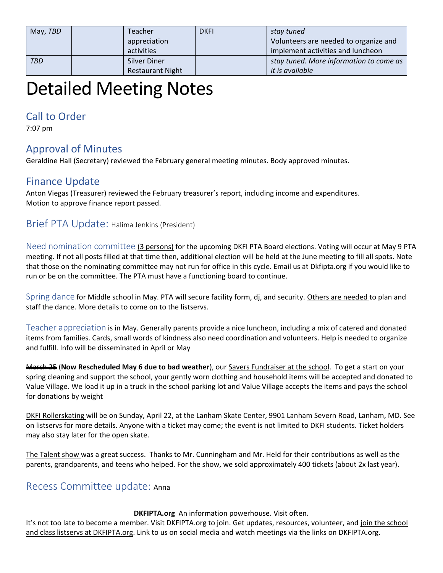| May, TBD   | <b>Teacher</b><br>appreciation | <b>DKFI</b> | stay tuned<br>Volunteers are needed to organize and |
|------------|--------------------------------|-------------|-----------------------------------------------------|
|            | activities                     |             | implement activities and luncheon                   |
| <b>TBD</b> | Silver Diner                   |             | stay tuned. More information to come as             |
|            | <b>Restaurant Night</b>        |             | it is available                                     |

# Detailed Meeting Notes

## Call to Order

7:07 pm

## Approval of Minutes

Geraldine Hall (Secretary) reviewed the February general meeting minutes. Body approved minutes.

## Finance Update

Anton Viegas (Treasurer) reviewed the February treasurer's report, including income and expenditures. Motion to approve finance report passed.

### Brief PTA Update: Halima Jenkins (President)

Need nomination committee (3 persons) for the upcoming DKFI PTA Board elections. Voting will occur at May 9 PTA meeting. If not all posts filled at that time then, additional election will be held at the June meeting to fill all spots. Note that those on the nominating committee may not run for office in this cycle. Email us at Dkfipta.org if you would like to run or be on the committee. The PTA must have a functioning board to continue.

Spring dance for Middle school in May. PTA will secure facility form, dj, and security. Others are needed to plan and staff the dance. More details to come on to the listservs.

Teacher appreciation is in May. Generally parents provide a nice luncheon, including a mix of catered and donated items from families. Cards, small words of kindness also need coordination and volunteers. Help is needed to organize and fulfill. Info will be disseminated in April or May

March 25 (**Now Rescheduled May 6 due to bad weather**), our Savers Fundraiser at the school. To get a start on your spring cleaning and support the school, your gently worn clothing and household items will be accepted and donated to Value Village. We load it up in a truck in the school parking lot and Value Village accepts the items and pays the school for donations by weight

DKFI Rollerskating will be on Sunday, April 22, at the Lanham Skate Center, 9901 Lanham Severn Road, Lanham, MD. See on listservs for more details. Anyone with a ticket may come; the event is not limited to DKFI students. Ticket holders may also stay later for the open skate.

The Talent show was a great success. Thanks to Mr. Cunningham and Mr. Held for their contributions as well as the parents, grandparents, and teens who helped. For the show, we sold approximately 400 tickets (about 2x last year).

## Recess Committee update: Anna

#### **DKFIPTA.org** An information powerhouse. Visit often.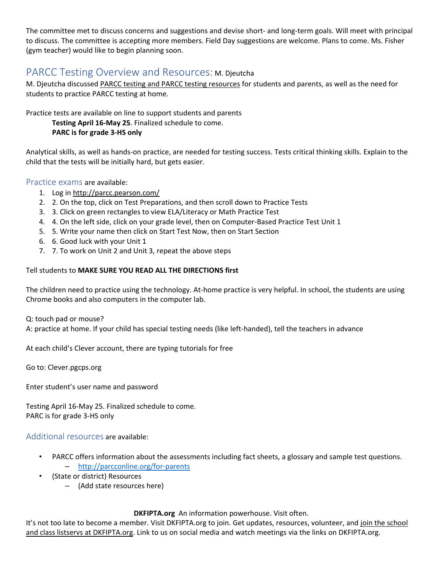The committee met to discuss concerns and suggestions and devise short- and long-term goals. Will meet with principal to discuss. The committee is accepting more members. Field Day suggestions are welcome. Plans to come. Ms. Fisher (gym teacher) would like to begin planning soon.

## PARCC Testing Overview and Resources: M. Djeutcha

M. Djeutcha discussed PARCC testing and PARCC testing resources for students and parents, as well as the need for students to practice PARCC testing at home.

Practice tests are available on line to support students and parents

**Testing April 16-May 25**. Finalized schedule to come. **PARC is for grade 3-HS only**

Analytical skills, as well as hands-on practice, are needed for testing success. Tests critical thinking skills. Explain to the child that the tests will be initially hard, but gets easier.

Practice exams are available:

- 1. Log in http://parcc.pearson.com/
- 2. 2. On the top, click on Test Preparations, and then scroll down to Practice Tests
- 3. 3. Click on green rectangles to view ELA/Literacy or Math Practice Test
- 4. 4. On the left side, click on your grade level, then on Computer-Based Practice Test Unit 1
- 5. 5. Write your name then click on Start Test Now, then on Start Section
- 6. 6. Good luck with your Unit 1
- 7. 7. To work on Unit 2 and Unit 3, repeat the above steps

#### Tell students to **MAKE SURE YOU READ ALL THE DIRECTIONS first**

The children need to practice using the technology. At-home practice is very helpful. In school, the students are using Chrome books and also computers in the computer lab.

Q: touch pad or mouse?

A: practice at home. If your child has special testing needs (like left-handed), tell the teachers in advance

At each child's Clever account, there are typing tutorials for free

Go to: Clever.pgcps.org

Enter student's user name and password

Testing April 16-May 25. Finalized schedule to come. PARC is for grade 3-HS only

Additional resources are available:

- PARCC offers information about the assessments including fact sheets, a glossary and sample test questions. – <http://parcconline.org/for-parents>
- (State or district) Resources
	- (Add state resources here)

#### **DKFIPTA.org** An information powerhouse. Visit often.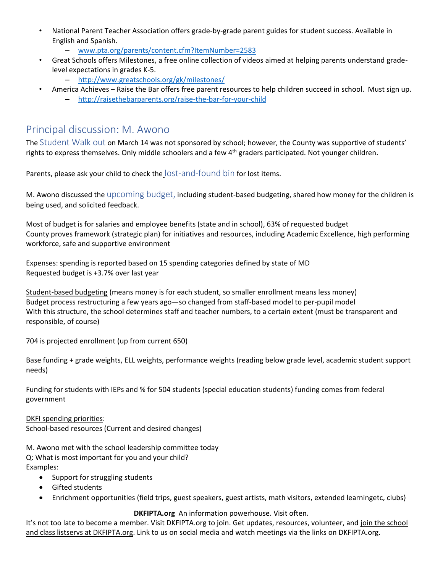- National Parent Teacher Association offers grade-by-grade parent guides for student success. Available in English and Spanish.
	- [www.pta.org/parents/content.cfm?ItemNumber=2583](http://www.pta.org/parents/content.cfm?ItemNumber=2583)
- Great Schools offers Milestones, a free online collection of videos aimed at helping parents understand gradelevel expectations in grades K-5.
	- <http://www.greatschools.org/gk/milestones/>
- America Achieves Raise the Bar offers free parent resources to help children succeed in school. Must sign up.
	- <http://raisethebarparents.org/raise-the-bar-for-your-child>

## Principal discussion: M. Awono

The Student Walk out on March 14 was not sponsored by school; however, the County was supportive of students' rights to express themselves. Only middle schoolers and a few  $4<sup>th</sup>$  graders participated. Not younger children.

Parents, please ask your child to check the lost-and-found bin for lost items.

M. Awono discussed the upcoming budget, including student-based budgeting, shared how money for the children is being used, and solicited feedback.

Most of budget is for salaries and employee benefits (state and in school), 63% of requested budget County proves framework (strategic plan) for initiatives and resources, including Academic Excellence, high performing workforce, safe and supportive environment

Expenses: spending is reported based on 15 spending categories defined by state of MD Requested budget is +3.7% over last year

Student-based budgeting (means money is for each student, so smaller enrollment means less money) Budget process restructuring a few years ago—so changed from staff-based model to per-pupil model With this structure, the school determines staff and teacher numbers, to a certain extent (must be transparent and responsible, of course)

704 is projected enrollment (up from current 650)

Base funding + grade weights, ELL weights, performance weights (reading below grade level, academic student support needs)

Funding for students with IEPs and % for 504 students (special education students) funding comes from federal government

DKFI spending priorities:

School-based resources (Current and desired changes)

M. Awono met with the school leadership committee today Q: What is most important for you and your child? Examples:

- Support for struggling students
- Gifted students
- Enrichment opportunities (field trips, guest speakers, guest artists, math visitors, extended learningetc, clubs)

#### **DKFIPTA.org** An information powerhouse. Visit often.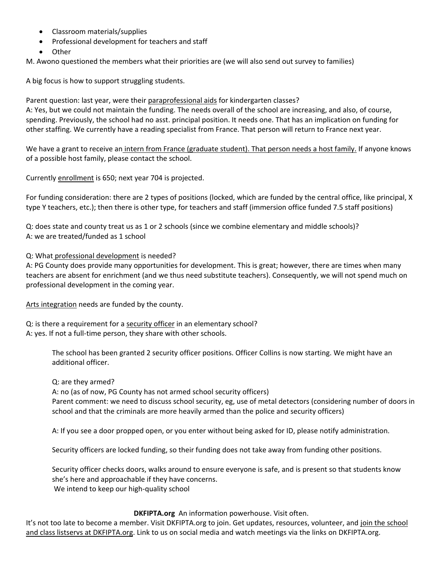- Classroom materials/supplies
- Professional development for teachers and staff
- Other

M. Awono questioned the members what their priorities are (we will also send out survey to families)

A big focus is how to support struggling students.

Parent question: last year, were their paraprofessional aids for kindergarten classes? A: Yes, but we could not maintain the funding. The needs overall of the school are increasing, and also, of course, spending. Previously, the school had no asst. principal position. It needs one. That has an implication on funding for other staffing. We currently have a reading specialist from France. That person will return to France next year.

We have a grant to receive an intern from France (graduate student). That person needs a host family. If anyone knows of a possible host family, please contact the school.

Currently enrollment is 650; next year 704 is projected.

For funding consideration: there are 2 types of positions (locked, which are funded by the central office, like principal, X type Y teachers, etc.); then there is other type, for teachers and staff (immersion office funded 7.5 staff positions)

Q: does state and county treat us as 1 or 2 schools (since we combine elementary and middle schools)? A: we are treated/funded as 1 school

#### Q: What professional development is needed?

A: PG County does provide many opportunities for development. This is great; however, there are times when many teachers are absent for enrichment (and we thus need substitute teachers). Consequently, we will not spend much on professional development in the coming year.

Arts integration needs are funded by the county.

Q: is there a requirement for a security officer in an elementary school? A: yes. If not a full-time person, they share with other schools.

> The school has been granted 2 security officer positions. Officer Collins is now starting. We might have an additional officer.

Q: are they armed?

A: no (as of now, PG County has not armed school security officers) Parent comment: we need to discuss school security, eg, use of metal detectors (considering number of doors in school and that the criminals are more heavily armed than the police and security officers)

A: If you see a door propped open, or you enter without being asked for ID, please notify administration.

Security officers are locked funding, so their funding does not take away from funding other positions.

Security officer checks doors, walks around to ensure everyone is safe, and is present so that students know she's here and approachable if they have concerns.

We intend to keep our high-quality school

#### **DKFIPTA.org** An information powerhouse. Visit often.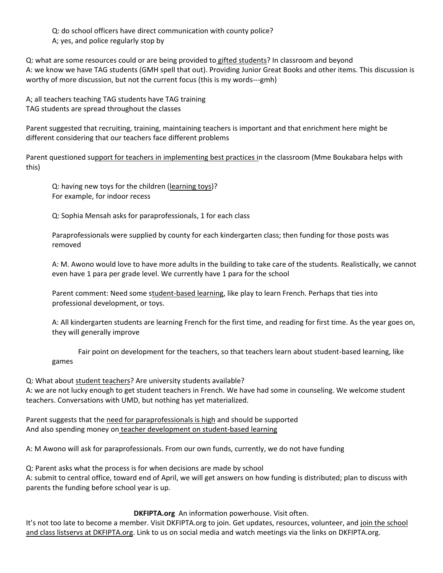Q: do school officers have direct communication with county police? A; yes, and police regularly stop by

Q: what are some resources could or are being provided to gifted students? In classroom and beyond A: we know we have TAG students (GMH spell that out). Providing Junior Great Books and other items. This discussion is worthy of more discussion, but not the current focus (this is my words---gmh)

A; all teachers teaching TAG students have TAG training TAG students are spread throughout the classes

Parent suggested that recruiting, training, maintaining teachers is important and that enrichment here might be different considering that our teachers face different problems

Parent questioned support for teachers in implementing best practices in the classroom (Mme Boukabara helps with this)

Q: having new toys for the children (learning toys)? For example, for indoor recess

Q: Sophia Mensah asks for paraprofessionals, 1 for each class

Paraprofessionals were supplied by county for each kindergarten class; then funding for those posts was removed

A: M. Awono would love to have more adults in the building to take care of the students. Realistically, we cannot even have 1 para per grade level. We currently have 1 para for the school

Parent comment: Need some student-based learning, like play to learn French. Perhaps that ties into professional development, or toys.

A: All kindergarten students are learning French for the first time, and reading for first time. As the year goes on, they will generally improve

Fair point on development for the teachers, so that teachers learn about student-based learning, like games

Q: What about student teachers? Are university students available? A: we are not lucky enough to get student teachers in French. We have had some in counseling. We welcome student teachers. Conversations with UMD, but nothing has yet materialized.

Parent suggests that the need for paraprofessionals is high and should be supported And also spending money on teacher development on student-based learning

A: M Awono will ask for paraprofessionals. From our own funds, currently, we do not have funding

Q: Parent asks what the process is for when decisions are made by school A: submit to central office, toward end of April, we will get answers on how funding is distributed; plan to discuss with parents the funding before school year is up.

#### **DKFIPTA.org** An information powerhouse. Visit often.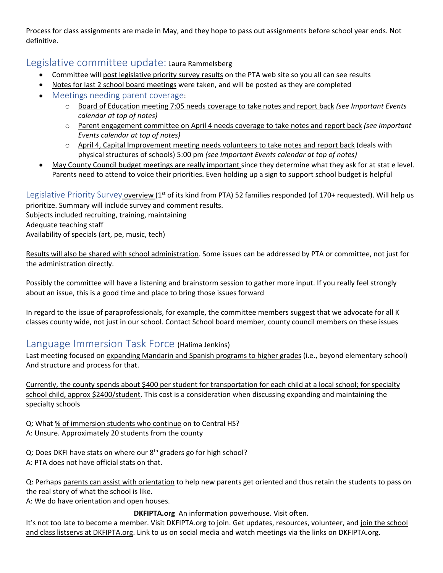Process for class assignments are made in May, and they hope to pass out assignments before school year ends. Not definitive.

### Legislative committee update: Laura Rammelsberg

- Committee will post legislative priority survey results on the PTA web site so you all can see results
- Notes for last 2 school board meetings were taken, and will be posted as they are completed
- Meetings needing parent coverage:
	- o Board of Education meeting 7:05 needs coverage to take notes and report back *(see Important Events calendar at top of notes)*
	- o Parent engagement committee on April 4 needs coverage to take notes and report back *(see Important Events calendar at top of notes)*
	- $\circ$  April 4, Capital Improvement meeting needs volunteers to take notes and report back (deals with physical structures of schools) 5:00 pm *(see Important Events calendar at top of notes)*
- May County Council budget meetings are really important since they determine what they ask for at stat e level. Parents need to attend to voice their priorities. Even holding up a sign to support school budget is helpful

Legislative Priority Survey overview ( $1<sup>st</sup>$  of its kind from PTA) 52 families responded (of 170+ requested). Will help us prioritize. Summary will include survey and comment results.

Subjects included recruiting, training, maintaining

Adequate teaching staff

Availability of specials (art, pe, music, tech)

Results will also be shared with school administration. Some issues can be addressed by PTA or committee, not just for the administration directly.

Possibly the committee will have a listening and brainstorm session to gather more input. If you really feel strongly about an issue, this is a good time and place to bring those issues forward

In regard to the issue of paraprofessionals, for example, the committee members suggest that we advocate for all K classes county wide, not just in our school. Contact School board member, county council members on these issues

## Language Immersion Task Force (Halima Jenkins)

Last meeting focused on expanding Mandarin and Spanish programs to higher grades (i.e., beyond elementary school) And structure and process for that.

Currently, the county spends about \$400 per student for transportation for each child at a local school; for specialty school child, approx \$2400/student. This cost is a consideration when discussing expanding and maintaining the specialty schools

Q: What % of immersion students who continue on to Central HS? A: Unsure. Approximately 20 students from the county

Q: Does DKFI have stats on where our 8<sup>th</sup> graders go for high school? A: PTA does not have official stats on that.

Q: Perhaps parents can assist with orientation to help new parents get oriented and thus retain the students to pass on the real story of what the school is like.

A: We do have orientation and open houses.

**DKFIPTA.org** An information powerhouse. Visit often.